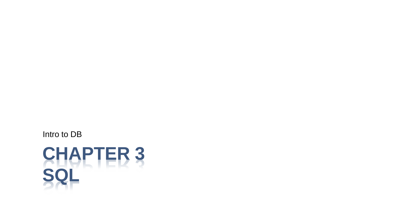Intro to DB

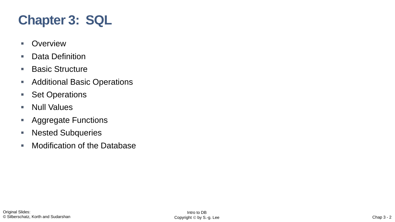# **Chapter 3: SQL**

- Overview
- Data Definition
- Basic Structure
- Additional Basic Operations
- Set Operations
- Null Values
- **E** Aggregate Functions
- Nested Subqueries
- Modification of the Database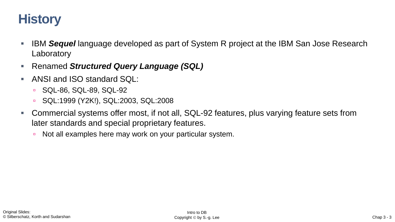# **History**

- IBM Sequel language developed as part of System R project at the IBM San Jose Research **Laboratory**
- **Renamed Structured Query Language (SQL)**
- ANSI and ISO standard SQL:
	- SQL-86, SQL-89, SQL-92
	- SQL:1999 (Y2K!), SQL:2003, SQL:2008
- Commercial systems offer most, if not all, SQL-92 features, plus varying feature sets from later standards and special proprietary features.
	- Not all examples here may work on your particular system.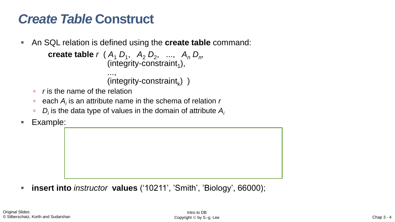## *Create Table* **Construct**

▪ An SQL relation is defined using the **create table** command:

```
create table r (A_1 D_1, A_2 D_2, ..., A_n D_n,
                      (integrity-constraint<sub>1</sub>),
                      ...,
                      (integrity-constraint<sub>k</sub>))
```
- *r* is the name of the relation
- □ each *A<sub>i</sub>* is an attribute name in the schema of relation *r*
- *D<sup>i</sup>* is the data type of values in the domain of attribute *A<sup>i</sup>*
- Example:

▪ **insert into** *instructor* **values** ('10211', 'Smith', 'Biology', 66000);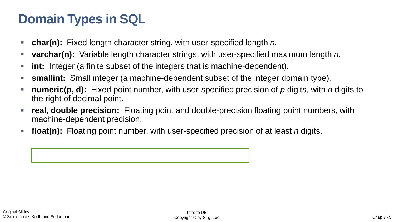# **Domain Types in SQL**

- **char(n):** Fixed length character string, with user-specified length *n.*
- **varchar(n):** Variable length character strings, with user-specified maximum length *n.*
- **int:** Integer (a finite subset of the integers that is machine-dependent).
- **smallint:** Small integer (a machine-dependent subset of the integer domain type).
- **numeric(p, d):** Fixed point number, with user-specified precision of p digits, with *n* digits to the right of decimal point.
- **real, double precision:** Floating point and double-precision floating point numbers, with machine-dependent precision.
- **float(n):** Floating point number, with user-specified precision of at least *n* digits.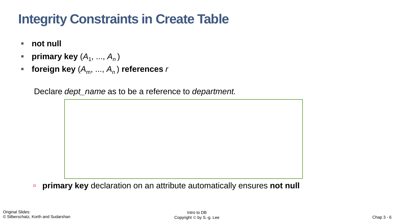# **Integrity Constraints in Create Table**

- **not null**
- **•** primary key  $(A_1, ..., A_n)$
- **foreign key**  $(A_m, ..., A_n)$  **references** *r*

Declare *dept\_name* as to be a reference to *department.*

**primary key** declaration on an attribute automatically ensures **not null**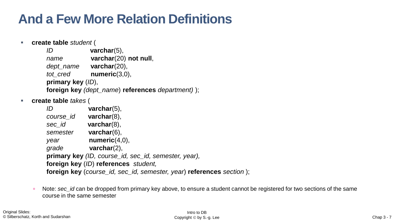# **And a Few More Relation Definitions**

▪ **create table** *student* (

*ID* **varchar**(5), *name* **varchar**(20) **not null**, *dept\_name* **varchar**(20), *tot\_cred* **numeric**(3,0), **primary key** (*ID*), **foreign key** *(dept\_name*) **references** *department)* );

▪ **create table** *takes* (

| ID                                                                   | $\textbf{v}$ archar $(5)$ , |  |  |  |
|----------------------------------------------------------------------|-----------------------------|--|--|--|
| course_id                                                            | $\textbf{v}$ archar $(8)$ , |  |  |  |
| sec id                                                               | $\textsf{varchar}(8)$ ,     |  |  |  |
| semester                                                             | $\textbf{v}$ archar $(6)$ , |  |  |  |
| year                                                                 | numeric $(4,0)$ ,           |  |  |  |
| grade                                                                | $\textsf{varchar}(2)$ ,     |  |  |  |
| primary key (ID, course_id, sec_id, semester, year),                 |                             |  |  |  |
| foreign key (ID) references student,                                 |                             |  |  |  |
| foreign key (course_id, sec_id, semester, year) references section); |                             |  |  |  |
|                                                                      |                             |  |  |  |

■ Note: sec\_id can be dropped from primary key above, to ensure a student cannot be registered for two sections of the same course in the same semester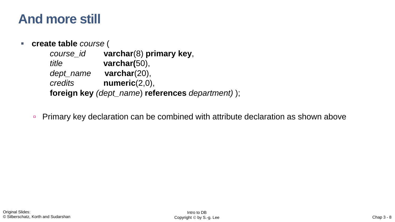#### **And more still**

#### ▪ **create table** *course* (

| course_id | varchar(8) primary key,                           |
|-----------|---------------------------------------------------|
| title     | varchar $(50)$ ,                                  |
| dept_name | varchar $(20)$ ,                                  |
| credits   | numeric(2,0),                                     |
|           | foreign key (dept_name) references department) ); |

**Primary key declaration can be combined with attribute declaration as shown above**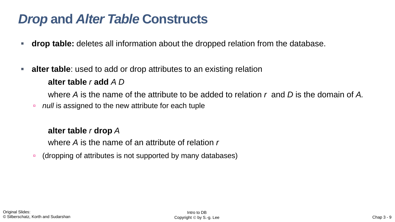#### *Drop* **and** *Alter Table* **Constructs**

- **the drop table:** deletes all information about the dropped relation from the database.
- **alter table**: used to add or drop attributes to an existing relation

#### **alter table** *r* **add** *A D*

where *A* is the name of the attribute to be added to relation *r* and *D* is the domain of *A.*

*null* is assigned to the new attribute for each tuple

#### **alter table** *r* **drop** *A*

where *A* is the name of an attribute of relation *r*

■ (dropping of attributes is not supported by many databases)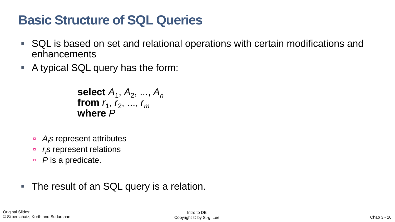# **Basic Structure of SQL Queries**

- SQL is based on set and relational operations with certain modifications and enhancements
- A typical SQL query has the form:

```
select A_1, A_2, ..., A_nfrom r_1, r_2, ..., r_mwhere P
```
- *Ais* represent attributes
- *r***<sub>***i***</sub>***s* **represent relations**
- *P* is a predicate.
- The result of an SQL query is a relation.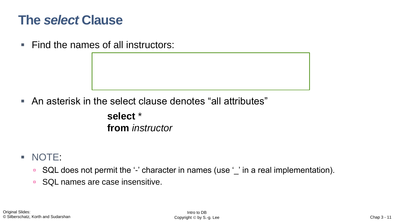#### **The** *select* **Clause**

■ Find the names of all instructors:

■ An asterisk in the select clause denotes "all attributes"

**select** \* **from** *instructor*

- NOTE:
	- SQL does not permit the '-' character in names (use '\_' in a real implementation).
	- SQL names are case insensitive.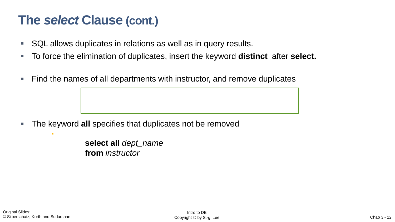#### **The** *select* **Clause (cont.)**

- SQL allows duplicates in relations as well as in query results.
- To force the elimination of duplicates, insert the keyword **distinct** after **select.**
- Find the names of all departments with instructor, and remove duplicates

The keyword all specifies that duplicates not be removed

**select distinct** *dept\_name*

**select all** *dept\_name* **from** *instructor*

i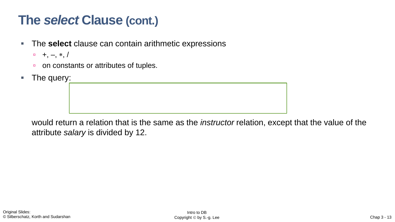#### **The** *select* **Clause (cont.)**

- **The select** clause can contain arithmetic expressions
	- $-$  +,  $-$ ,  $*$ ,  $/$
	- on constants or attributes of tuples.
- The query:

would return a relation that is the same as the *instructor* relation, except that the value of the attribute *salary* is divided by 12.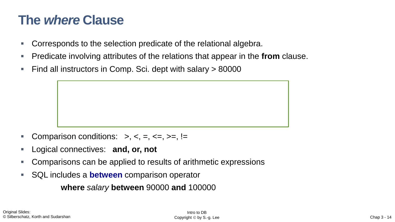#### **The** *where* **Clause**

- Corresponds to the selection predicate of the relational algebra.
- Predicate involving attributes of the relations that appear in the **from** clause.
- Find all instructors in Comp. Sci. dept with salary  $> 80000$

- Comparison conditions:  $\Rightarrow$ ,  $\lt$ ,  $\Rightarrow$ ,  $\lt$ =,  $\gt$ =, !=
- Logical connectives: and, or, not
- Comparisons can be applied to results of arithmetic expressions
- SQL includes a **between** comparison operator

**where** *salary* **between** 90000 **and** 100000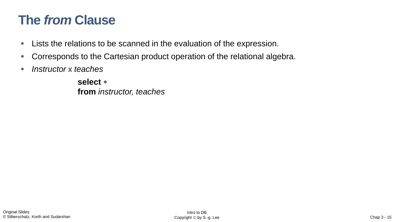## **The** *from* **Clause**

- **EXT** Lists the relations to be scanned in the evaluation of the expression.
- Corresponds to the Cartesian product operation of the relational algebra.
- *Instructor* x *teaches*

**select from** *instructor, teaches*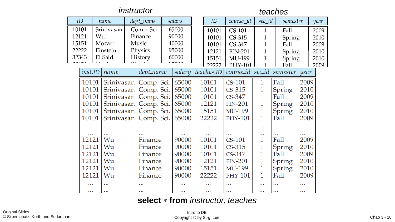#### *instructor teaches*

|       | ID                           | name       |            | dept_name  |                        | salary         |          | ID             | $course\_id$   | sec id       | semester |          | year |
|-------|------------------------------|------------|------------|------------|------------------------|----------------|----------|----------------|----------------|--------------|----------|----------|------|
| 10101 |                              | Srinivasan |            | Comp. Sci. |                        | 65000          |          | 10101          | <b>CS-101</b>  | $\mathbf{1}$ | Fall     |          | 2009 |
|       | 12121<br>Finance<br>Wu       |            | 90000      |            |                        | 10101          | $CS-315$ |                | Spring         |              | 2010     |          |      |
|       | 15151<br>Music<br>Mozart     |            | 40000      |            | 10101                  | CS-347         | 1        | Fall           |                | 2009         |          |          |      |
|       | 22222<br>Physics<br>Einstein |            |            |            | 95000                  |                | 12121    | <b>FIN-201</b> |                | Spring       |          | 2010     |      |
| 32343 |                              | El Said    | History    |            | 60000                  |                |          | 15151          | MU-199         |              | Spring   |          | 2010 |
|       |                              |            |            |            | $n \rightarrow \infty$ |                |          | 22222          | <b>PHY-101</b> |              | Fall     |          | 2009 |
|       | inst.ID                      | name       |            | dept_name  |                        | salary         |          | teaches.ID     | course_id      | sec_id       | semester | year     |      |
|       | 10101                        | Srinivasan |            | Comp. Sci. |                        | 65000          |          | 10101          | $CS-101$       | 1            | Fall     | 2009     |      |
|       | 10101                        | Srinivasan |            | Comp. Sci. |                        | 65000          |          | 10101          | $CS-315$       | 1            | Spring   | 2010     |      |
|       | 10101<br>Srinivasan          |            | Comp. Sci. |            | 65000                  |                | 10101    | $CS-347$       | 1              | Fall         | 2009     |          |      |
|       | 10101<br>Srinivasan          |            |            | Comp. Sci. |                        | 65000          |          | 12121          | <b>FIN-201</b> | 1            | Spring   | 2010     |      |
|       | 10101                        | Srinivasan |            | Comp. Sci. |                        | 65000          |          | 15151          | MU-199         | $\mathbf{1}$ | Spring   | 2010     |      |
|       | 10101                        | Srinivasan |            | Comp. Sci. |                        | 65000          |          | 22222          | <b>PHY-101</b> | $\mathbf{1}$ | Fall     | 2009     |      |
|       |                              |            |            |            |                        |                |          |                | $\ddotsc$      | $\cdots$     |          |          |      |
|       |                              |            |            |            |                        |                |          |                |                | $\cdots$     |          | $\cdots$ |      |
|       | 12121                        | Wu         |            | Finance    |                        | 90000          |          | 10101          | $CS-101$       | 1            | Fall     | 2009     |      |
|       | 12121                        | Wu         |            | Finance    |                        | 90000          |          | 10101          | $CS-315$       | 1            | Spring   | 2010     |      |
|       | 12121                        | Wu         |            | Finance    |                        | 90000          |          | 10101          | CS-347         | 1            | Fall     | 2009     |      |
|       | 12121<br>Wu<br>Finance       |            | 90000      |            | 12121                  | <b>FIN-201</b> | 1        | Spring         | 2010           |              |          |          |      |
|       | 12121                        | Wu         |            | Finance    |                        | 90000          |          | 15151          | MU-199         | $\mathbf{1}$ | Spring   | 2010     |      |
|       | 12121                        | Wu         |            | Finance    |                        | 90000          |          | 22222          | <b>PHY-101</b> | $\mathbf{1}$ | Fall     | 2009     |      |
|       |                              | $\cdots$   |            |            |                        |                |          |                | $\cdots$       | $\cdots$     |          | $\cdots$ |      |
|       | $\cdots$                     | $\cdots$   |            |            |                        |                |          | $\cdots$       |                | $\cdots$     | $\cdots$ | $\cdots$ |      |

#### **select from** *instructor, teaches*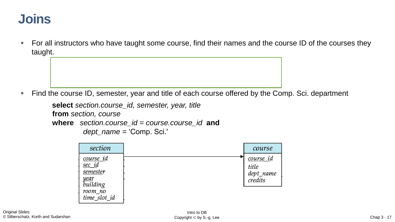#### **Joins**

■ For all instructors who have taught some course, find their names and the course ID of the courses they taught.

Find the course ID, semester, year and title of each course offered by the Comp. Sci. department

```
select section.course_id, semester, year, title
from section, course
where section.course_id = course.course_id and
         dept_name = 'Comp. Sci.'
```

| section                                                                         | course                                             |
|---------------------------------------------------------------------------------|----------------------------------------------------|
| course id<br>  <u>sec_id</u><br>$\vert$ semester<br>  <u>year</u><br>  building | <u>course_i</u> d<br>title<br>dept_name<br>credits |
| room_no<br>time_slot_id                                                         |                                                    |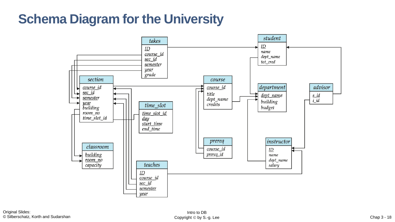## **Schema Diagram for the University**

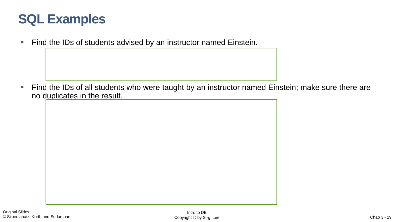#### **SQL Examples**

**select** *s\_id*

**Find the IDs of students advised by an instructor named Einstein.** 

■ Find the IDs of all students who were taught by an instructor named Einstein; make sure there are no duplicates in the result.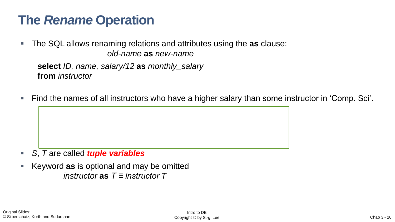## **The** *Rename* **Operation**

■ The SQL allows renaming relations and attributes using the **as** clause: *old-name* **as** *new-name*

**select** *ID, name, salary/12* **as** *monthly\_salary* **from** *instructor*

Find the names of all instructors who have a higher salary than some instructor in 'Comp. Sci'.

- *S*, *T* are called *tuple variables*
- Keyword **as** is optional and may be omitted *instructor* **as** *T ≡ instructor T*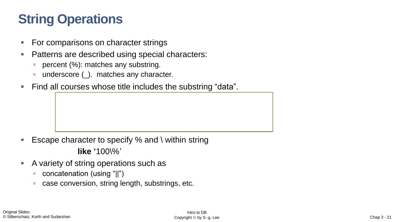# **String Operations**

- For comparisons on character strings
- Patterns are described using special characters:
	- **percent (%): matches any substring.**
	- underscore (\_). matches any character.
- Find all courses whose title includes the substring "data".

- Escape character to specify % and  $\backslash$  within string **like '**100\%'
- A variety of string operations such as
	- concatenation (using "||")
	- **case conversion, string length, substrings, etc.**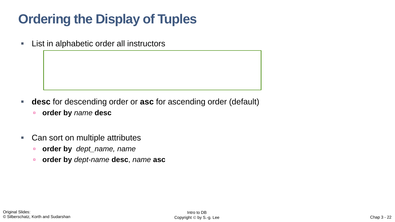# **Ordering the Display of Tuples**

**EXECT:** List in alphabetic order all instructors

- **desc** for descending order or **asc** for ascending order (default)
	- **order by** *name* **desc**
- Can sort on multiple attributes
	- **order by** *dept\_name, name*
	- **order by** *dept-name* **desc**, *name* **asc**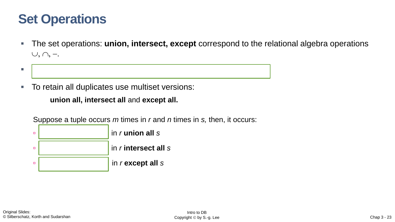#### **Set Operations**

- The set operations: **union, intersect, except** correspond to the relational algebra operations  $\cup, \cap, -.$
- Each set operation *automatically eliminates duplicates*
- To retain all duplicates use multiset versions:

**union all, intersect all** and **except all.**

Suppose a tuple occurs *m* times in *r* and *n* times in *s,* then, it occurs:

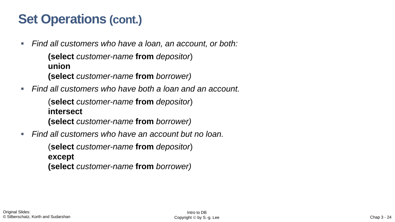## **Set Operations (cont.)**

▪ *Find all customers who have a loan, an account, or both:*

**(select** *customer-name* **from** *depositor*) **union (select** *customer-name* **from** *borrower)*

*Find all customers who have both a loan and an account.* 

(**select** *customer-name* **from** *depositor*) **intersect (select** *customer-name* **from** *borrower)*

*Find all customers who have an account but no loan.* 

(**select** *customer-name* **from** *depositor*) **except (select** *customer-name* **from** *borrower)*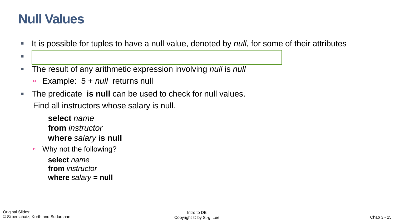#### **Null Values**

- It is possible for tuples to have a null value, denoted by *null*, for some of their attributes
- *null* signifies an unknown value or that a value does not exist.
- The result of any arithmetic expression involving *null* is *null*
	- Example: 5 + *null* returns null
- **The predicate is null can be used to check for null values.** Find all instructors whose salary is null*.*

**select** *name*

**from** *instructor* **where** *salary* **is null**

■ Why not the following?

**select** *name* **from** *instructor* **where** *salary* **= null**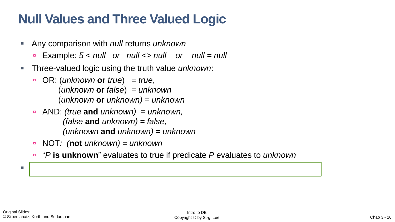# **Null Values and Three Valued Logic**

- Any comparison with *null* returns *unknown* 
	- Example*: 5 < null or null <> null or null = null*
- Three-valued logic using the truth value *unknown*:
	- OR: (*unknown* **or** *true*) = *true*, (*unknown* **or** *false*) = *unknown* (*unknown* **or** *unknown) = unknown*
	- AND: *(true* **and** *unknown) = unknown, (false* **and** *unknown) = false, (unknown* **and** *unknown) = unknown*
	- NOT*: (***not** *unknown) = unknown*
	- "*P* **is unknown**" evaluates to true if predicate *P* evaluates to *unknown*

▪ Result of **where** clause predicate is treated as *false* if it evaluates to *unknown*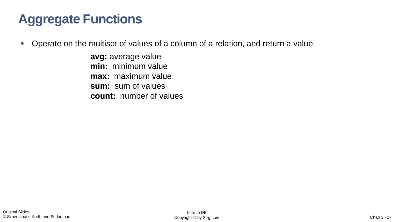# **Aggregate Functions**

■ Operate on the multiset of values of a column of a relation, and return a value

**avg:** average value **min:** minimum value **max:** maximum value **sum:** sum of values **count:** number of values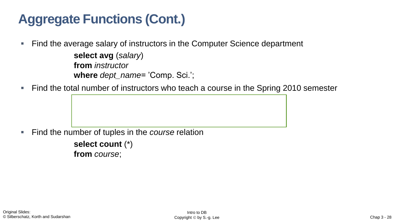# **Aggregate Functions (Cont.)**

■ Find the average salary of instructors in the Computer Science department

```
select avg (salary)
from instructor
where dept_name= 'Comp. Sci.';
```
Find the total number of instructors who teach a course in the Spring 2010 semester

**Find the number of tuples in the** *course* relation

**select count** (\*) **from** *course*;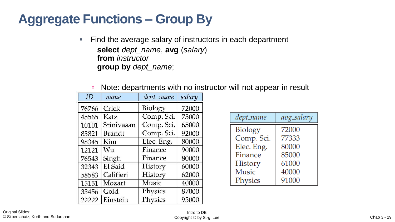# **Aggregate Functions – Group By**

■ Find the average salary of instructors in each department **select** *dept\_name*, **avg** (*salary*) **from** *instructor* **group by** *dept\_name*;

| ID    | name       | dept name      | salary |
|-------|------------|----------------|--------|
| 76766 | Crick      | <b>Biology</b> | 72000  |
| 45565 | Katz       | Comp. Sci.     | 75000  |
| 10101 | Srinivasan | Comp. Sci.     | 65000  |
| 83821 | Brandt     | Comp. Sci.     | 92000  |
| 98345 | Kim        | Elec. Eng.     | 80000  |
| 12121 | Wu         | Finance        | 90000  |
| 76543 | Singh      | Finance        | 80000  |
| 32343 | El Said    | History        | 60000  |
| 58583 | Califieri  | History        | 62000  |
| 15151 | Mozart     | Music          | 40000  |
| 33456 | Gold       | Physics        | 87000  |
| 22222 | Einstein   | Physics        | 95000  |

| dept_name      | avg_salary |
|----------------|------------|
| <b>Biology</b> | 72000      |
| Comp. Sci.     | 77333      |
| Elec. Eng.     | 80000      |
| Finance        | 85000      |
| History        | 61000      |
| <b>Music</b>   | 40000      |
| Physics        | 91000      |

■ Note: departments with no instructor will not appear in result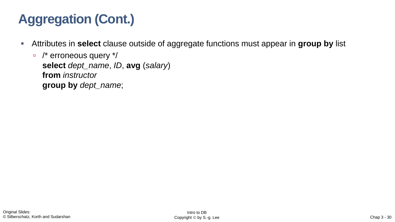# **Aggregation (Cont.)**

- **EXT** Attributes in **select** clause outside of aggregate functions must appear in **group by** list
	- □ /\* erroneous query \*/ **select** *dept\_name*, *ID*, **avg** (*salary*) **from** *instructor* **group by** *dept\_name*;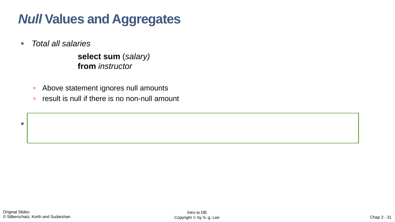# *Null* **Values and Aggregates**

▪ *Total all salaries*

**select sum** (*salary)* **from** *instructor*

- **Above statement ignores null amounts**
- result is null if there is no non-null amount

▪ All aggregate operations except **count(\*)** ignore tuples with null values on the aggregated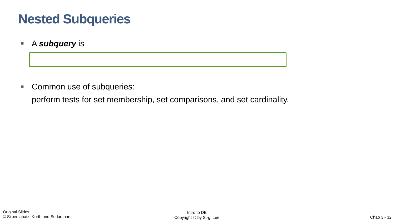# **Nested Subqueries**

▪ A *subquery* is

■ Common use of subqueries:

perform tests for set membership, set comparisons, and set cardinality.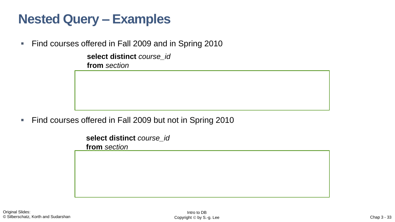# **Nested Query – Examples**

■ Find courses offered in Fall 2009 and in Spring 2010

**select distinct** *course\_id* **from** *section*

■ Find courses offered in Fall 2009 but not in Spring 2010

**select distinct** *course\_id* **from** *section*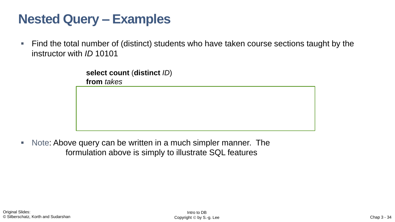# **Nested Query – Examples**

■ Find the total number of (distinct) students who have taken course sections taught by the instructor with *ID* 10101

> **select count** (**distinct** *ID*) **from** *takes*

▪ Note: Above query can be written in a much simpler manner. The formulation above is simply to illustrate SQL features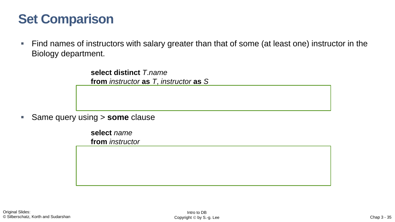## **Set Comparison**

■ Find names of instructors with salary greater than that of some (at least one) instructor in the Biology department.

> **select distinct** *T*.*name* **from** *instructor* **as** *T*, *instructor* **as** *S*

▪ Same query using > **some** clause

**select** *name* **from** *instructor*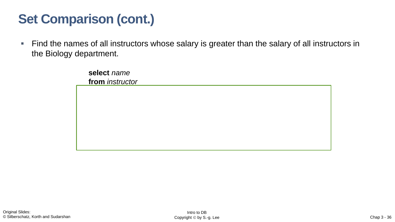# **Set Comparison (cont.)**

**Find the names of all instructors whose salary is greater than the salary of all instructors in** the Biology department.

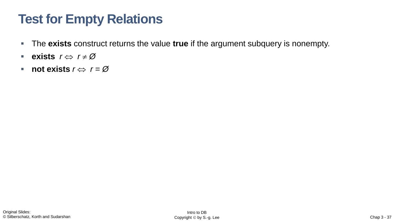# **Test for Empty Relations**

- The **exists** construct returns the value **true** if the argument subquery is nonempty.
- **exists**  $r \Leftrightarrow r \neq \emptyset$
- $\blacksquare$  **not exists**  $r \Leftrightarrow r = \emptyset$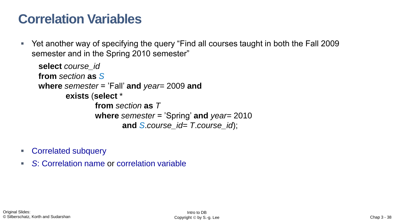## **Correlation Variables**

■ Yet another way of specifying the query "Find all courses taught in both the Fall 2009 semester and in the Spring 2010 semester"

```
select course_id
from section as S
where semester = 'Fall' and year= 2009 and 
       exists (select *
               from section as T
               where semester = 'Spring' and year= 2010 
                      and S.course_id= T.course_id);
```
- Correlated subquery
- *S:* Correlation name or correlation variable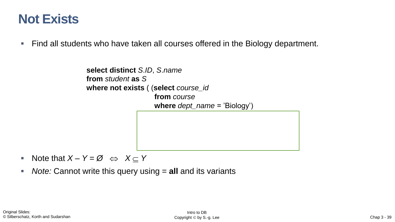#### **Not Exists**

■ Find all students who have taken all courses offered in the Biology department.

```
select distinct S.ID, S.name
from student as S
where not exists ( (select course_id
                   from course
                    where dept_name = 'Biology')
                   except
```
- Note that  $X Y = \emptyset \Leftrightarrow X \subseteq Y$
- *Note:* Cannot write this query using = **all** and its variants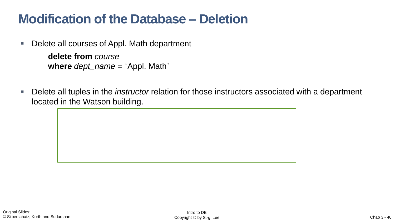## **Modification of the Database – Deletion**

■ Delete all courses of Appl. Math department

**delete from** *course* **where** *dept\_name =*  'Appl. Math'

■ Delete all tuples in the *instructor* relation for those instructors associated with a department located in the Watson building.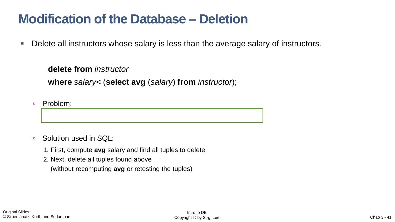#### **Modification of the Database – Deletion**

▪ Delete all instructors whose salary is less than the average salary of instructors*.*

**delete from** *instructor*

**where** *salary*< (**select avg** (*salary*) **from** *instructor*);

□ Problem:

- Solution used in SQL:
	- 1. First, compute **avg** salary and find all tuples to delete
	- 2. Next, delete all tuples found above (without recomputing **avg** or retesting the tuples)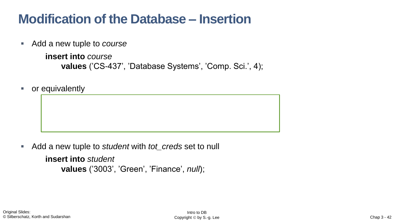## **Modification of the Database – Insertion**

■ Add a new tuple to *course* 

```
insert into course
    values ('CS-437', 'Database Systems', 'Comp. Sci.', 4);
```
**insert into** *course* (*course\_id*, *title*, *dept\_name*, *credits*)

or equivalently

■ Add a new tuple to *student* with *tot\_creds* set to null

**insert into** *student* **values** ('3003', 'Green', 'Finance', *null*);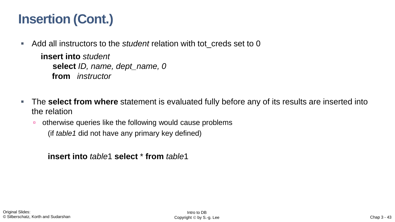# **Insertion (Cont.)**

■ Add all instructors to the *student* relation with tot\_creds set to 0

**insert into** *student* **select** *ID, name, dept\_name, 0* **from** *instructor*

- **The select from where** statement is evaluated fully before any of its results are inserted into the relation
	- otherwise queries like the following would cause problems (if *table1* did not have any primary key defined)

**insert into** *table*1 **select** \* **from** *table*1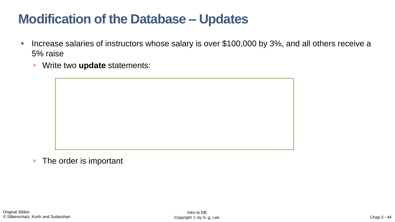## **Modification of the Database – Updates**

- Increase salaries of instructors whose salary is over \$100,000 by 3%, and all others receive a 5% raise
	- Write two **update** statements: